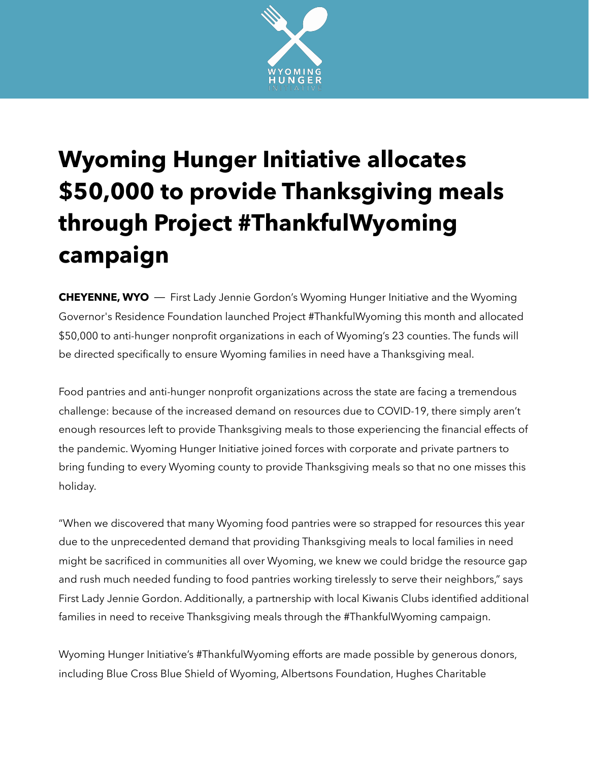

## **Wyoming Hunger Initiative allocates \$50,000 to provide Thanksgiving meals through Project #ThankfulWyoming campaign**

**CHEYENNE, WYO** — First Lady Jennie Gordon's Wyoming Hunger Initiative and the Wyoming Governor's Residence Foundation launched Project #ThankfulWyoming this month and allocated \$50,000 to anti-hunger nonprofit organizations in each of Wyoming's 23 counties. The funds will be directed specifically to ensure Wyoming families in need have a Thanksgiving meal.

Food pantries and anti-hunger nonprofit organizations across the state are facing a tremendous challenge: because of the increased demand on resources due to COVID-19, there simply aren't enough resources left to provide Thanksgiving meals to those experiencing the financial effects of the pandemic. Wyoming Hunger Initiative joined forces with corporate and private partners to bring funding to every Wyoming county to provide Thanksgiving meals so that no one misses this holiday.

"When we discovered that many Wyoming food pantries were so strapped for resources this year due to the unprecedented demand that providing Thanksgiving meals to local families in need might be sacrificed in communities all over Wyoming, we knew we could bridge the resource gap and rush much needed funding to food pantries working tirelessly to serve their neighbors," says First Lady Jennie Gordon. Additionally, a partnership with local Kiwanis Clubs identified additional families in need to receive Thanksgiving meals through the #ThankfulWyoming campaign.

Wyoming Hunger Initiative's #ThankfulWyoming efforts are made possible by generous donors, including Blue Cross Blue Shield of Wyoming, Albertsons Foundation, Hughes Charitable